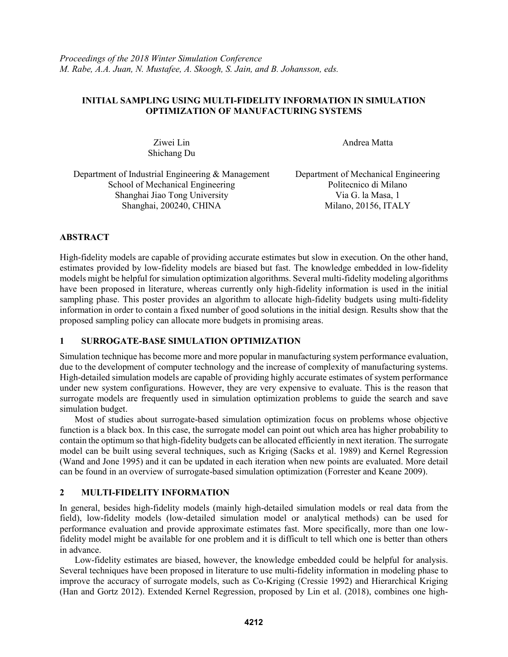## **INITIAL SAMPLING USING MULTI-FIDELITY INFORMATION IN SIMULATION OPTIMIZATION OF MANUFACTURING SYSTEMS**

Ziwei Lin Shichang Du Andrea Matta

Department of Industrial Engineering & Management School of Mechanical Engineering Shanghai Jiao Tong University Via G. la Masa, 1 Shanghai, 200240, CHINA Milano, 20156, ITALY

Department of Mechanical Engineering Politecnico di Milano

# **ABSTRACT**

High-fidelity models are capable of providing accurate estimates but slow in execution. On the other hand, estimates provided by low-fidelity models are biased but fast. The knowledge embedded in low-fidelity models might be helpful for simulation optimization algorithms. Several multi-fidelity modeling algorithms have been proposed in literature, whereas currently only high-fidelity information is used in the initial sampling phase. This poster provides an algorithm to allocate high-fidelity budgets using multi-fidelity information in order to contain a fixed number of good solutions in the initial design. Results show that the proposed sampling policy can allocate more budgets in promising areas.

### **1 SURROGATE-BASE SIMULATION OPTIMIZATION**

Simulation technique has become more and more popular in manufacturing system performance evaluation, due to the development of computer technology and the increase of complexity of manufacturing systems. High-detailed simulation models are capable of providing highly accurate estimates of system performance under new system configurations. However, they are very expensive to evaluate. This is the reason that surrogate models are frequently used in simulation optimization problems to guide the search and save simulation budget.

Most of studies about surrogate-based simulation optimization focus on problems whose objective function is a black box. In this case, the surrogate model can point out which area has higher probability to contain the optimum so that high-fidelity budgets can be allocated efficiently in next iteration. The surrogate model can be built using several techniques, such as Kriging (Sacks et al. 1989) and Kernel Regression (Wand and Jone 1995) and it can be updated in each iteration when new points are evaluated. More detail can be found in an overview of surrogate-based simulation optimization (Forrester and Keane 2009).

# **2 MULTI-FIDELITY INFORMATION**

In general, besides high-fidelity models (mainly high-detailed simulation models or real data from the field), low-fidelity models (low-detailed simulation model or analytical methods) can be used for performance evaluation and provide approximate estimates fast. More specifically, more than one lowfidelity model might be available for one problem and it is difficult to tell which one is better than others in advance.

Low-fidelity estimates are biased, however, the knowledge embedded could be helpful for analysis. Several techniques have been proposed in literature to use multi-fidelity information in modeling phase to improve the accuracy of surrogate models, such as Co-Kriging (Cressie 1992) and Hierarchical Kriging (Han and Gortz 2012). Extended Kernel Regression, proposed by Lin et al. (2018), combines one high-